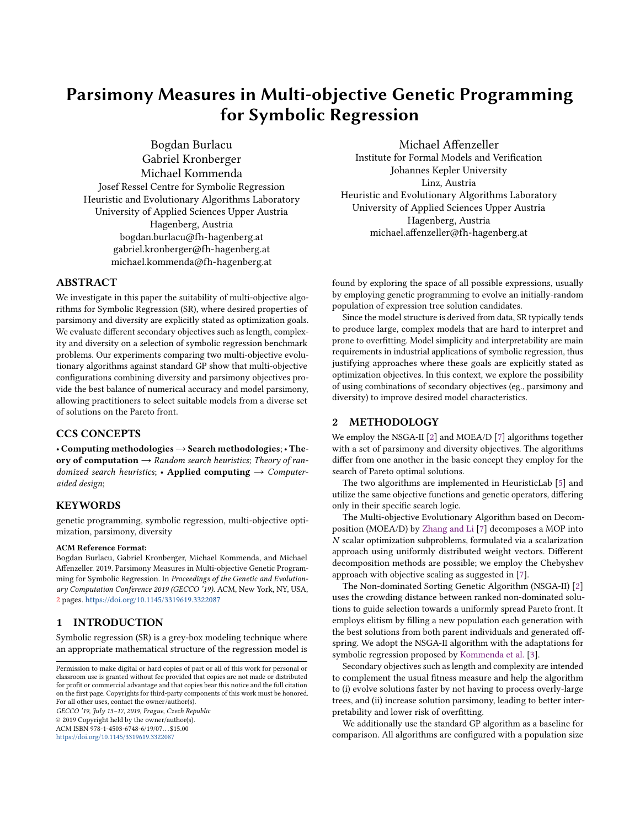# Parsimony Measures in Multi-objective Genetic Programming for Symbolic Regression

Bogdan Burlacu Gabriel Kronberger Michael Kommenda Josef Ressel Centre for Symbolic Regression Heuristic and Evolutionary Algorithms Laboratory University of Applied Sciences Upper Austria Hagenberg, Austria bogdan.burlacu@fh-hagenberg.at gabriel.kronberger@fh-hagenberg.at michael.kommenda@fh-hagenberg.at

## ABSTRACT

We investigate in this paper the suitability of multi-objective algorithms for Symbolic Regression (SR), where desired properties of parsimony and diversity are explicitly stated as optimization goals. We evaluate different secondary objectives such as length, complexity and diversity on a selection of symbolic regression benchmark problems. Our experiments comparing two multi-objective evolutionary algorithms against standard GP show that multi-objective configurations combining diversity and parsimony objectives provide the best balance of numerical accuracy and model parsimony, allowing practitioners to select suitable models from a diverse set of solutions on the Pareto front.

# CCS CONCEPTS

• Computing methodologies→Search methodologies; • Theory of computation  $\rightarrow$  Random search heuristics; Theory of randomized search heuristics; • Applied computing  $\rightarrow$  Computeraided design;

## **KEYWORDS**

genetic programming, symbolic regression, multi-objective optimization, parsimony, diversity

#### ACM Reference Format:

Bogdan Burlacu, Gabriel Kronberger, Michael Kommenda, and Michael Affenzeller. 2019. Parsimony Measures in Multi-objective Genetic Programming for Symbolic Regression. In Proceedings of the Genetic and Evolutionary Computation Conference 2019 (GECCO '19). ACM, New York, NY, USA, [2](#page-1-0) pages. <https://doi.org/10.1145/3319619.3322087>

#### 1 INTRODUCTION

Symbolic regression (SR) is a grey-box modeling technique where an appropriate mathematical structure of the regression model is

GECCO '19, July 13–17, 2019, Prague, Czech Republic © 2019 Copyright held by the owner/author(s).

ACM ISBN 978-1-4503-6748-6/19/07...\$15.00 <https://doi.org/10.1145/3319619.3322087>

Michael Affenzeller Institute for Formal Models and Verification Johannes Kepler University Linz, Austria Heuristic and Evolutionary Algorithms Laboratory University of Applied Sciences Upper Austria Hagenberg, Austria michael.affenzeller@fh-hagenberg.at

found by exploring the space of all possible expressions, usually by employing genetic programming to evolve an initially-random population of expression tree solution candidates.

Since the model structure is derived from data, SR typically tends to produce large, complex models that are hard to interpret and prone to overfitting. Model simplicity and interpretability are main requirements in industrial applications of symbolic regression, thus justifying approaches where these goals are explicitly stated as optimization objectives. In this context, we explore the possibility of using combinations of secondary objectives (eg., parsimony and diversity) to improve desired model characteristics.

### 2 METHODOLOGY

We employ the NSGA-II [\[2\]](#page-1-1) and MOEA/D [\[7\]](#page-1-2) algorithms together with a set of parsimony and diversity objectives. The algorithms differ from one another in the basic concept they employ for the search of Pareto optimal solutions.

The two algorithms are implemented in HeuristicLab [\[5\]](#page-1-3) and utilize the same objective functions and genetic operators, differing only in their specific search logic.

The Multi-objective Evolutionary Algorithm based on Decomposition (MOEA/D) by [Zhang and Li](#page-1-2) [\[7\]](#page-1-2) decomposes a MOP into N scalar optimization subproblems, formulated via a scalarization approach using uniformly distributed weight vectors. Different decomposition methods are possible; we employ the Chebyshev approach with objective scaling as suggested in [\[7\]](#page-1-2).

The Non-dominated Sorting Genetic Algorithm (NSGA-II) [\[2\]](#page-1-1) uses the crowding distance between ranked non-dominated solutions to guide selection towards a uniformly spread Pareto front. It employs elitism by filling a new population each generation with the best solutions from both parent individuals and generated offspring. We adopt the NSGA-II algorithm with the adaptations for symbolic regression proposed by [Kommenda et al.](#page-1-4) [\[3\]](#page-1-4).

Secondary objectives such as length and complexity are intended to complement the usual fitness measure and help the algorithm to (i) evolve solutions faster by not having to process overly-large trees, and (ii) increase solution parsimony, leading to better interpretability and lower risk of overfitting.

We additionally use the standard GP algorithm as a baseline for comparison. All algorithms are configured with a population size

Permission to make digital or hard copies of part or all of this work for personal or classroom use is granted without fee provided that copies are not made or distributed for profit or commercial advantage and that copies bear this notice and the full citation on the first page. Copyrights for third-party components of this work must be honored. For all other uses, contact the owner/author(s).